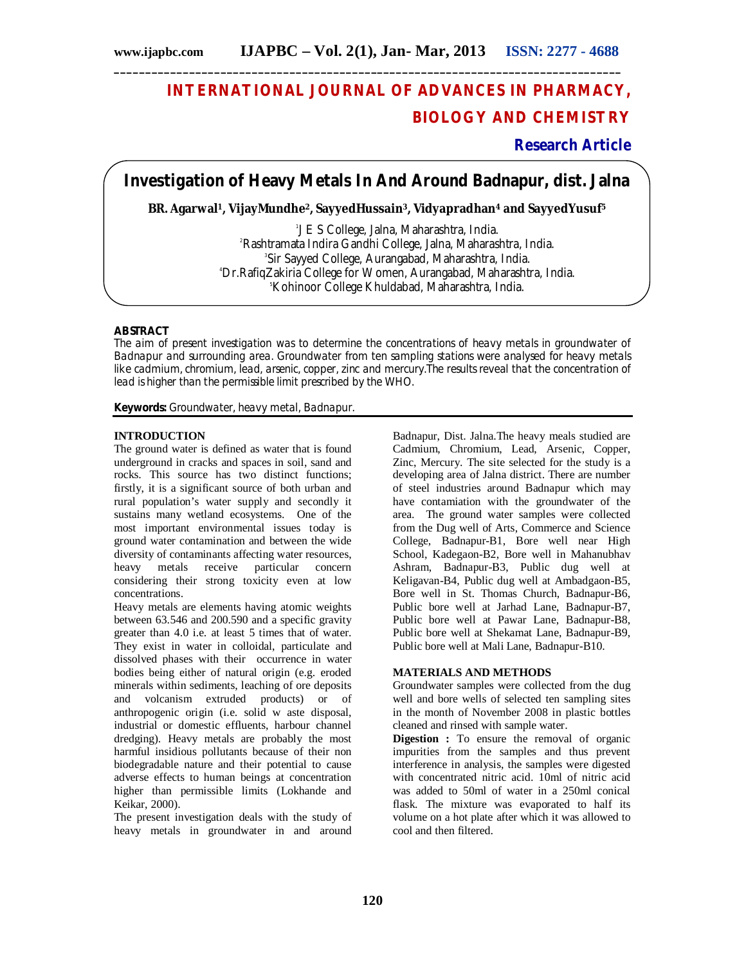# **INTERNATIONAL JOURNAL OF ADVANCES IN PHARMACY, BIOLOGY AND CHEMISTRY**

## **Research Article**

**Investigation of Heavy Metals In And Around Badnapur, dist. Jalna**

**\_\_\_\_\_\_\_\_\_\_\_\_\_\_\_\_\_\_\_\_\_\_\_\_\_\_\_\_\_\_\_\_\_\_\_\_\_\_\_\_\_\_\_\_\_\_\_\_\_\_\_\_\_\_\_\_\_\_\_\_\_\_\_\_\_\_\_\_\_\_\_\_\_\_\_\_\_\_\_\_\_**

**BR. Agarwal1, VijayMundhe2, SayyedHussain3, Vidyapradhan<sup>4</sup> and SayyedYusuf<sup>5</sup>**

 J E S College, Jalna, Maharashtra, India. Rashtramata Indira Gandhi College, Jalna, Maharashtra, India. Sir Sayyed College, Aurangabad, Maharashtra, India. Dr.RafiqZakiria College for Women, Aurangabad, Maharashtra, India. <sup>5</sup>Kohinoor College Khuldabad, Maharashtra, India.

### **ABSTRACT**

The aim of present investigation was to determine the concentrations of heavy metals in groundwater of Badnapur and surrounding area. Groundwater from ten sampling stations were analysed for heavy metals like cadmium, chromium, lead, arsenic, copper, zinc and mercury.The results reveal that the concentration of lead is higher than the permissible limit prescribed by the WHO.

**Keywords:** Groundwater, heavy metal, Badnapur.

#### **INTRODUCTION**

The ground water is defined as water that is found underground in cracks and spaces in soil, sand and rocks. This source has two distinct functions; firstly, it is a significant source of both urban and rural population's water supply and secondly it sustains many wetland ecosystems. One of the most important environmental issues today is ground water contamination and between the wide diversity of contaminants affecting water resources, heavy metals receive particular concern considering their strong toxicity even at low concentrations.

Heavy metals are elements having atomic weights between 63.546 and 200.590 and a specific gravity greater than 4.0 i.e. at least 5 times that of water. They exist in water in colloidal, particulate and dissolved phases with their occurrence in water bodies being either of natural origin (e.g. eroded minerals within sediments, leaching of ore deposits and volcanism extruded products) or of anthropogenic origin (i.e. solid w aste disposal, industrial or domestic effluents, harbour channel dredging). Heavy metals are probably the most harmful insidious pollutants because of their non biodegradable nature and their potential to cause adverse effects to human beings at concentration higher than permissible limits (Lokhande and Keikar, 2000).

The present investigation deals with the study of heavy metals in groundwater in and around Badnapur, Dist. Jalna.The heavy meals studied are Cadmium, Chromium, Lead, Arsenic, Copper, Zinc, Mercury. The site selected for the study is a developing area of Jalna district. There are number of steel industries around Badnapur which may have contamiation with the groundwater of the area. The ground water samples were collected from the Dug well of Arts, Commerce and Science College, Badnapur-B1, Bore well near High School, Kadegaon-B2, Bore well in Mahanubhav Ashram, Badnapur-B3, Public dug well at Keligavan-B4, Public dug well at Ambadgaon-B5, Bore well in St. Thomas Church, Badnapur-B6, Public bore well at Jarhad Lane, Badnapur-B7, Public bore well at Pawar Lane, Badnapur-B8, Public bore well at Shekamat Lane, Badnapur-B9, Public bore well at Mali Lane, Badnapur-B10.

#### **MATERIALS AND METHODS**

Groundwater samples were collected from the dug well and bore wells of selected ten sampling sites in the month of November 2008 in plastic bottles cleaned and rinsed with sample water.

**Digestion :** To ensure the removal of organic impurities from the samples and thus prevent interference in analysis, the samples were digested with concentrated nitric acid. 10ml of nitric acid was added to 50ml of water in a 250ml conical flask. The mixture was evaporated to half its volume on a hot plate after which it was allowed to cool and then filtered.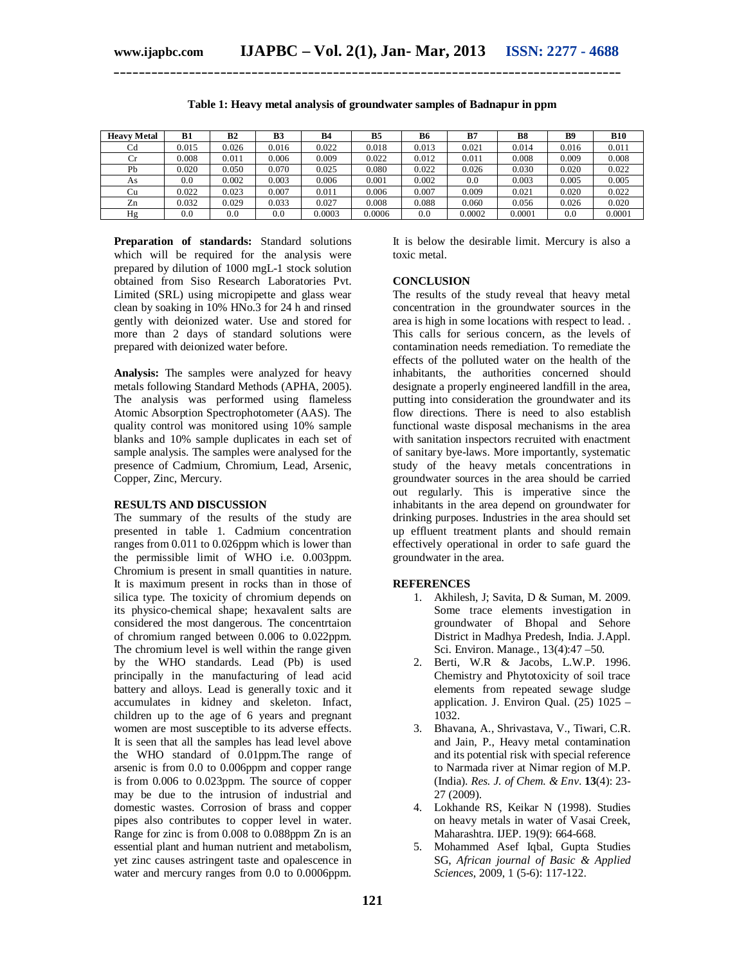| <b>Heavy Metal</b> | <b>B1</b> | B <sub>2</sub> | <b>B3</b> | <b>B4</b> | B5     | <b>B6</b> | B7     | <b>B8</b> | B <sub>9</sub> | <b>B10</b> |
|--------------------|-----------|----------------|-----------|-----------|--------|-----------|--------|-----------|----------------|------------|
| Cd                 | 0.015     | 0.026          | 0.016     | 0.022     | 0.018  | 0.013     | 0.021  | 0.014     | 0.016          | 0.011      |
| $_{\rm Cr}$        | 0.008     | 0.011          | 0.006     | 0.009     | 0.022  | 0.012     | 0.011  | 0.008     | 0.009          | 0.008      |
| Pb                 | 0.020     | 0.050          | 0.070     | 0.025     | 0.080  | 0.022     | 0.026  | 0.030     | 0.020          | 0.022      |
| As                 | 0.0       | 0.002          | 0.003     | 0.006     | 0.001  | 0.002     | 0.0    | 0.003     | 0.005          | 0.005      |
| Cu                 | 0.022     | 0.023          | 0.007     | 0.011     | 0.006  | 0.007     | 0.009  | 0.021     | 0.020          | 0.022      |
| Zn                 | 0.032     | 0.029          | 0.033     | 0.027     | 0.008  | 0.088     | 0.060  | 0.056     | 0.026          | 0.020      |
| Hg                 | $_{0.0}$  | $_{0.0}$       | 0.0       | 0.0003    | 0.0006 | 0.0       | 0.0002 | 0.0001    | 0.0            | 0.0001     |

**Table 1: Heavy metal analysis of groundwater samples of Badnapur in ppm**

**\_\_\_\_\_\_\_\_\_\_\_\_\_\_\_\_\_\_\_\_\_\_\_\_\_\_\_\_\_\_\_\_\_\_\_\_\_\_\_\_\_\_\_\_\_\_\_\_\_\_\_\_\_\_\_\_\_\_\_\_\_\_\_\_\_\_\_\_\_\_\_\_\_\_\_\_\_\_\_\_\_**

**Preparation of standards:** Standard solutions which will be required for the analysis were prepared by dilution of 1000 mgL-1 stock solution obtained from Siso Research Laboratories Pvt. Limited (SRL) using micropipette and glass wear clean by soaking in 10% HNo.3 for 24 h and rinsed gently with deionized water. Use and stored for more than 2 days of standard solutions were prepared with deionized water before.

**Analysis:** The samples were analyzed for heavy metals following Standard Methods (APHA, 2005). The analysis was performed using flameless Atomic Absorption Spectrophotometer (AAS). The quality control was monitored using 10% sample blanks and 10% sample duplicates in each set of sample analysis. The samples were analysed for the presence of Cadmium, Chromium, Lead, Arsenic, Copper, Zinc, Mercury.

#### **RESULTS AND DISCUSSION**

The summary of the results of the study are presented in table 1. Cadmium concentration ranges from 0.011 to 0.026ppm which is lower than the permissible limit of WHO i.e. 0.003ppm. Chromium is present in small quantities in nature. It is maximum present in rocks than in those of silica type. The toxicity of chromium depends on its physico-chemical shape; hexavalent salts are considered the most dangerous. The concentrtaion of chromium ranged between 0.006 to 0.022ppm. The chromium level is well within the range given by the WHO standards. Lead (Pb) is used principally in the manufacturing of lead acid battery and alloys. Lead is generally toxic and it accumulates in kidney and skeleton. Infact, children up to the age of 6 years and pregnant women are most susceptible to its adverse effects. It is seen that all the samples has lead level above the WHO standard of 0.01ppm.The range of arsenic is from 0.0 to 0.006ppm and copper range is from 0.006 to 0.023ppm. The source of copper may be due to the intrusion of industrial and domestic wastes. Corrosion of brass and copper pipes also contributes to copper level in water. Range for zinc is from 0.008 to 0.088ppm Zn is an essential plant and human nutrient and metabolism, yet zinc causes astringent taste and opalescence in water and mercury ranges from 0.0 to 0.0006ppm.

It is below the desirable limit. Mercury is also a toxic metal.

#### **CONCLUSION**

The results of the study reveal that heavy metal concentration in the groundwater sources in the area is high in some locations with respect to lead. . This calls for serious concern, as the levels of contamination needs remediation. To remediate the effects of the polluted water on the health of the inhabitants, the authorities concerned should designate a properly engineered landfill in the area, putting into consideration the groundwater and its flow directions. There is need to also establish functional waste disposal mechanisms in the area with sanitation inspectors recruited with enactment of sanitary bye-laws. More importantly, systematic study of the heavy metals concentrations in groundwater sources in the area should be carried out regularly. This is imperative since the inhabitants in the area depend on groundwater for drinking purposes. Industries in the area should set up effluent treatment plants and should remain effectively operational in order to safe guard the groundwater in the area.

#### **REFERENCES**

- 1. Akhilesh, J; Savita, D & Suman, M. 2009. Some trace elements investigation in groundwater of Bhopal and Sehore District in Madhya Predesh, India. J.Appl. Sci. Environ. Manage., 13(4):47 –50.
- 2. Berti, W.R & Jacobs, L.W.P. 1996. Chemistry and Phytotoxicity of soil trace elements from repeated sewage sludge application. J. Environ Qual. (25) 1025 – 1032.
- 3. Bhavana, A., Shrivastava, V., Tiwari, C.R. and Jain, P., Heavy metal contamination and its potential risk with special reference to Narmada river at Nimar region of M.P. (India). *Res. J. of Chem. & Env*. **13**(4): 23- 27 (2009).
- 4. Lokhande RS, Keikar N (1998). Studies on heavy metals in water of Vasai Creek, Maharashtra. IJEP. 19(9): 664-668.
- 5. Mohammed Asef Iqbal, Gupta Studies SG, *African journal of Basic & Applied Sciences*, 2009, 1 (5-6): 117-122.